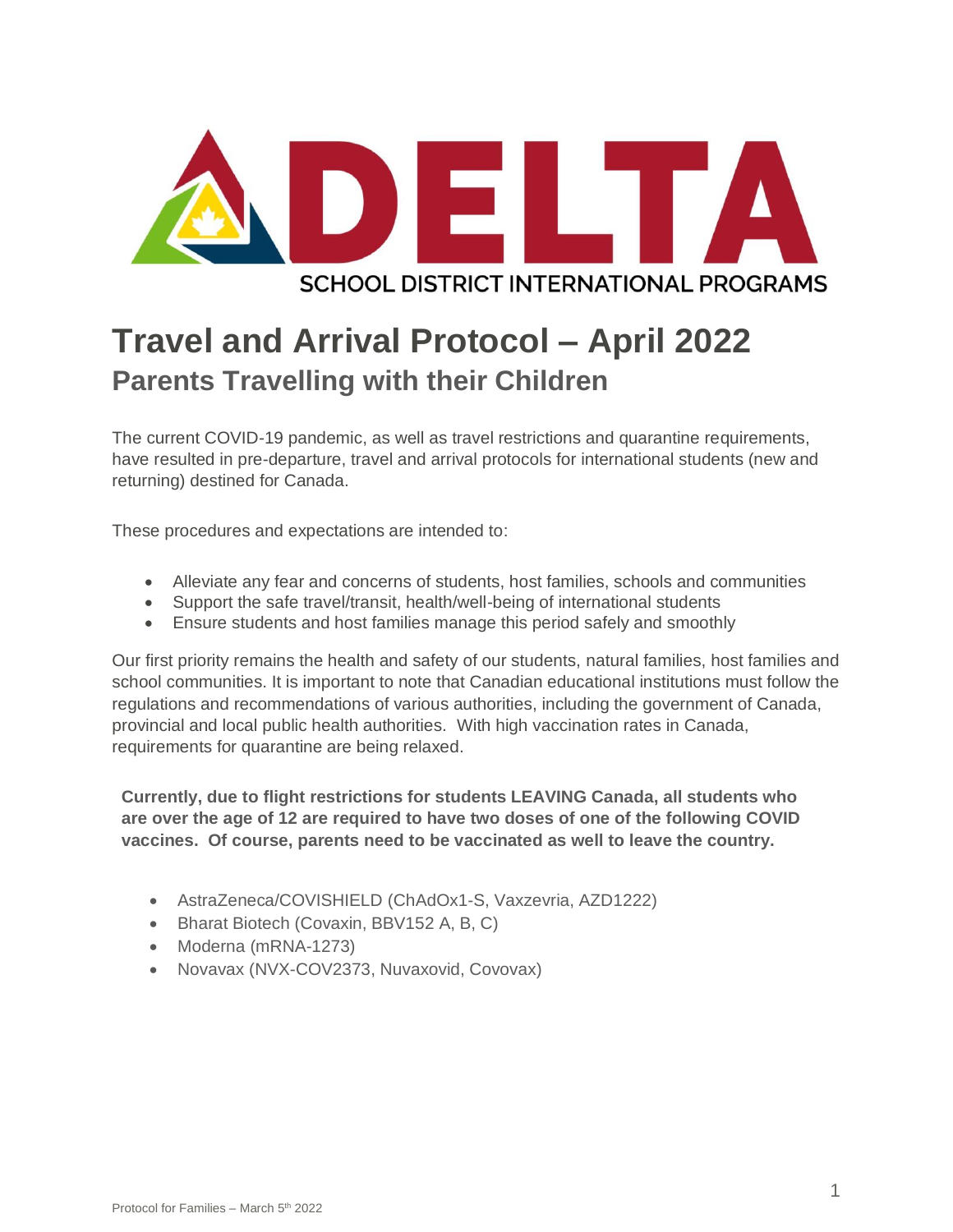

# **Travel and Arrival Protocol – April 2022 Parents Travelling with their Children**

The current COVID-19 pandemic, as well as travel restrictions and quarantine requirements, have resulted in pre-departure, travel and arrival protocols for international students (new and returning) destined for Canada.

These procedures and expectations are intended to:

- Alleviate any fear and concerns of students, host families, schools and communities
- Support the safe travel/transit, health/well-being of international students
- Ensure students and host families manage this period safely and smoothly

Our first priority remains the health and safety of our students, natural families, host families and school communities. It is important to note that Canadian educational institutions must follow the regulations and recommendations of various authorities, including the government of Canada, provincial and local public health authorities. With high vaccination rates in Canada, requirements for quarantine are being relaxed.

**Currently, due to flight restrictions for students LEAVING Canada, all students who are over the age of 12 are required to have two doses of one of the following COVID vaccines. Of course, parents need to be vaccinated as well to leave the country.**

- AstraZeneca/COVISHIELD (ChAdOx1-S, Vaxzevria, AZD1222)
- Bharat Biotech (Covaxin, BBV152 A, B, C)
- Moderna (mRNA-1273)
- Novavax (NVX-COV2373, Nuvaxovid, Covovax)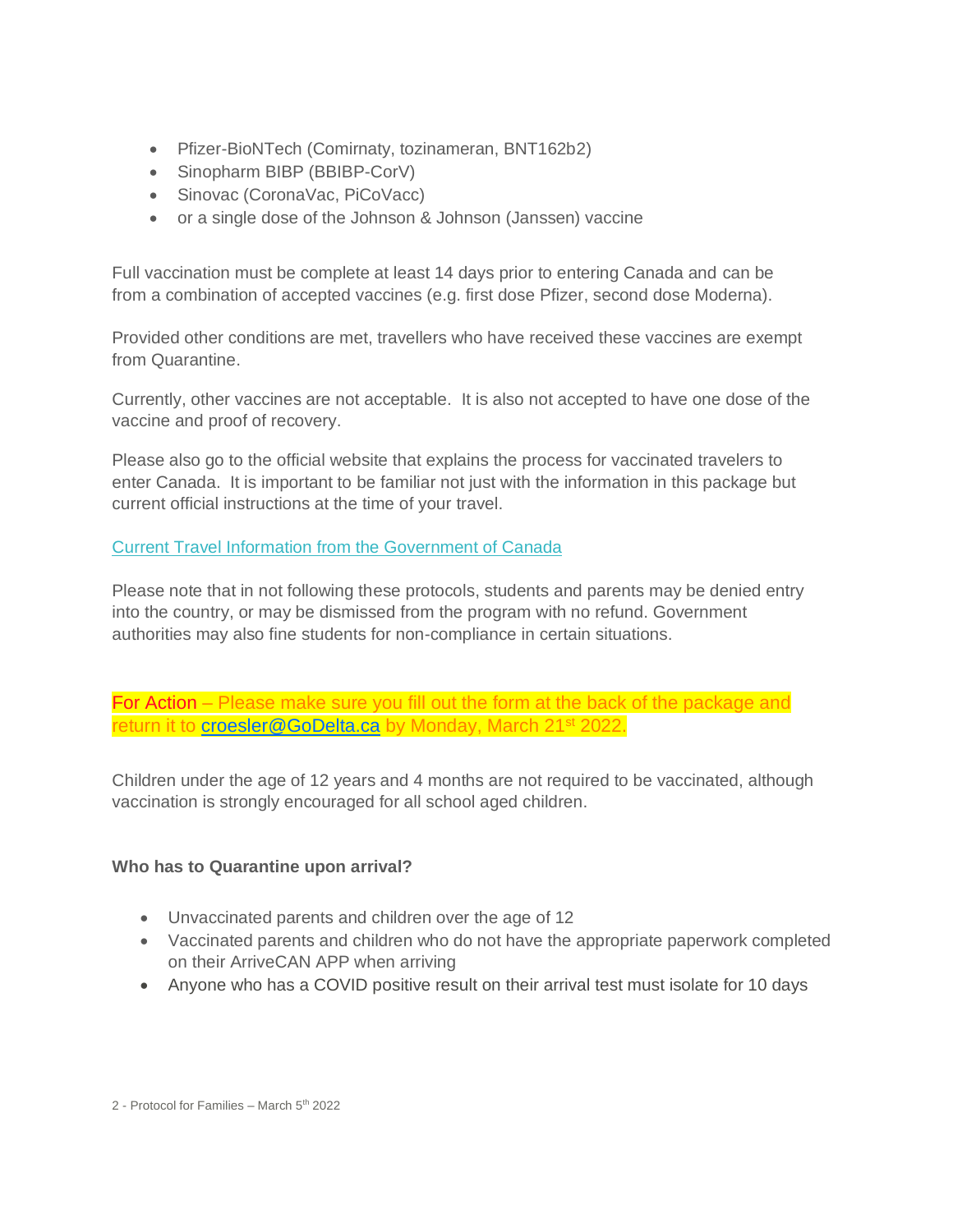- Pfizer-BioNTech (Comirnaty, tozinameran, BNT162b2)
- Sinopharm BIBP (BBIBP-CorV)
- Sinovac (CoronaVac, PiCoVacc)
- or a single dose of the Johnson & Johnson (Janssen) vaccine

Full vaccination must be complete at least 14 days prior to entering Canada and can be from a combination of accepted vaccines (e.g. first dose Pfizer, second dose Moderna).

Provided other conditions are met, travellers who have received these vaccines are exempt from Quarantine.

Currently, other vaccines are not acceptable. It is also not accepted to have one dose of the vaccine and proof of recovery.

Please also go to the official website that explains the process for vaccinated travelers to enter Canada. It is important to be familiar not just with the information in this package but current official instructions at the time of your travel.

## [Current Travel Information from the Government of Canada](https://travel.gc.ca/travel-covid/travel-restrictions/covid-vaccinated-travellers-entering-canada#pre-entry-testing)

Please note that in not following these protocols, students and parents may be denied entry into the country, or may be dismissed from the program with no refund. Government authorities may also fine students for non-compliance in certain situations.

For Action – Please make sure you fill out the form at the back of the package and return it to [croesler@GoDelta.ca](mailto:croesler@GoDelta.ca) by Monday, March 21<sup>st</sup> 2022.

Children under the age of 12 years and 4 months are not required to be vaccinated, although vaccination is strongly encouraged for all school aged children.

#### **Who has to Quarantine upon arrival?**

- Unvaccinated parents and children over the age of 12
- Vaccinated parents and children who do not have the appropriate paperwork completed on their ArriveCAN APP when arriving
- Anyone who has a COVID positive result on their arrival test must isolate for 10 days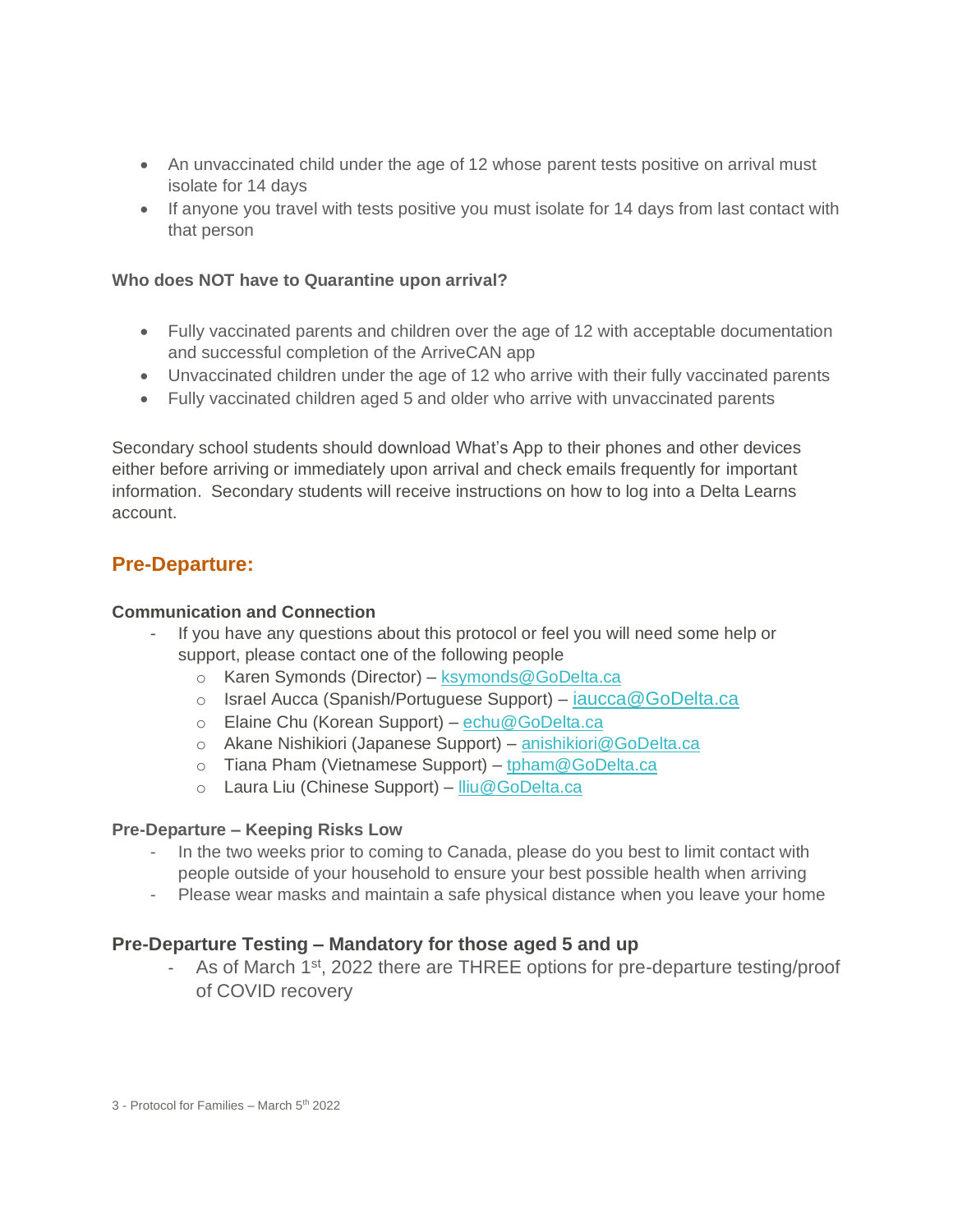- An unvaccinated child under the age of 12 whose parent tests positive on arrival must isolate for 14 days
- If anyone you travel with tests positive you must isolate for 14 days from last contact with that person

#### **Who does NOT have to Quarantine upon arrival?**

- Fully vaccinated parents and children over the age of 12 with acceptable documentation and successful completion of the ArriveCAN app
- Unvaccinated children under the age of 12 who arrive with their fully vaccinated parents
- Fully vaccinated children aged 5 and older who arrive with unvaccinated parents

Secondary school students should download What's App to their phones and other devices either before arriving or immediately upon arrival and check emails frequently for important information. Secondary students will receive instructions on how to log into a Delta Learns account.

# **Pre-Departure:**

#### **Communication and Connection**

- If you have any questions about this protocol or feel you will need some help or support, please contact one of the following people
	- o Karen Symonds (Director) [ksymonds@GoDelta.ca](mailto:ksymonds@GoDelta.ca)
	- o Israel Aucca (Spanish/Portuguese Support) iaucca@GoDelta.ca
	- o Elaine Chu (Korean Support) [echu@GoDelta.ca](mailto:echu@GoDelta.ca)
	- o Akane Nishikiori (Japanese Support) [anishikiori@GoDelta.ca](mailto:anishikiori@GoDelta.ca)
	- o Tiana Pham (Vietnamese Support) [tpham@GoDelta.ca](mailto:tpham@GoDelta.ca)
	- o Laura Liu (Chinese Support) [lliu@GoDelta.ca](mailto:lliu@GoDelta.ca)

#### **Pre-Departure – Keeping Risks Low**

- In the two weeks prior to coming to Canada, please do you best to limit contact with people outside of your household to ensure your best possible health when arriving
- Please wear masks and maintain a safe physical distance when you leave your home

## **Pre-Departure Testing – Mandatory for those aged 5 and up**

- As of March 1<sup>st</sup>, 2022 there are THREE options for pre-departure testing/proof of COVID recovery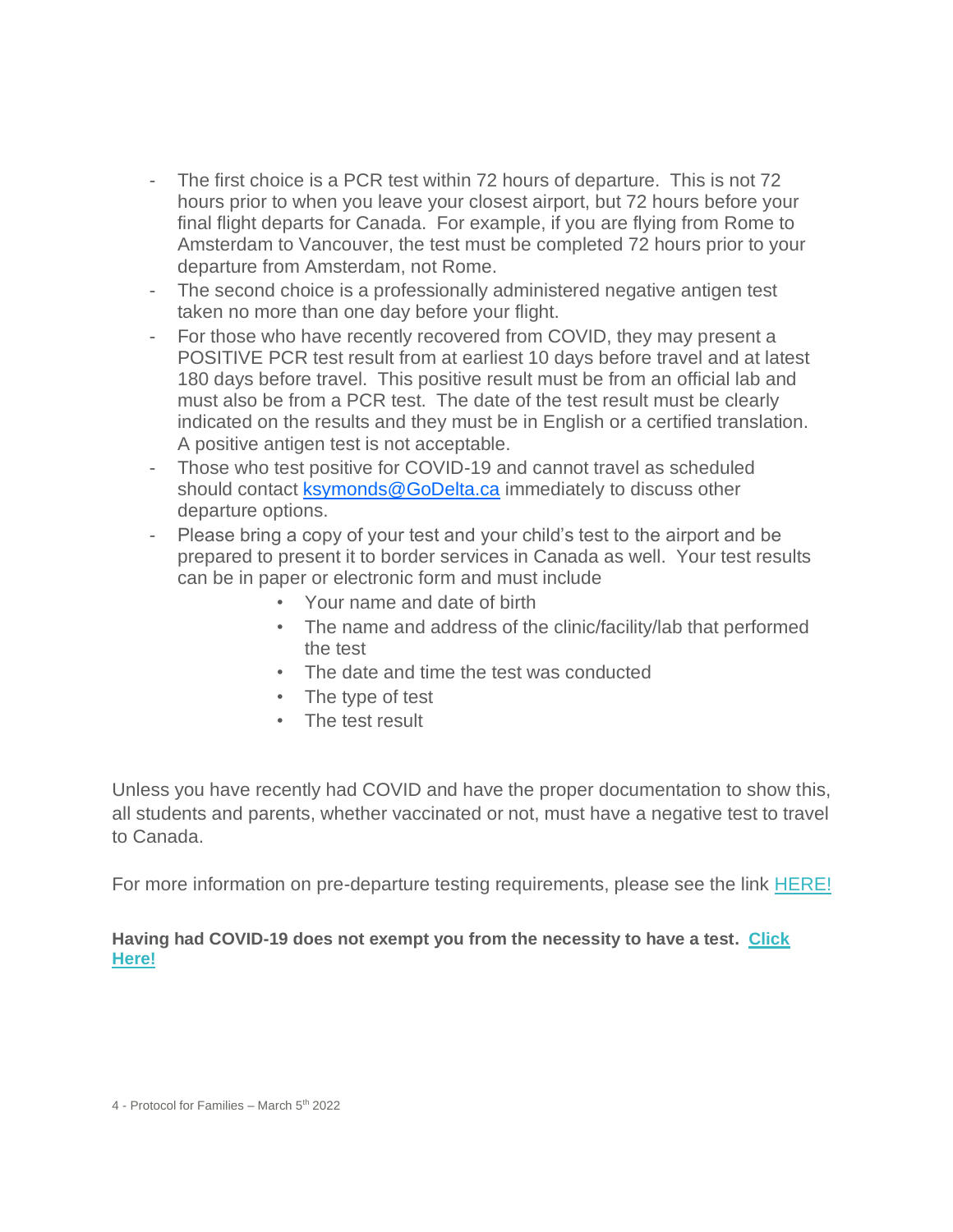- The first choice is a PCR test within 72 hours of departure. This is not 72 hours prior to when you leave your closest airport, but 72 hours before your final flight departs for Canada. For example, if you are flying from Rome to Amsterdam to Vancouver, the test must be completed 72 hours prior to your departure from Amsterdam, not Rome.
- The second choice is a professionally administered negative antigen test taken no more than one day before your flight.
- For those who have recently recovered from COVID, they may present a POSITIVE PCR test result from at earliest 10 days before travel and at latest 180 days before travel. This positive result must be from an official lab and must also be from a PCR test. The date of the test result must be clearly indicated on the results and they must be in English or a certified translation. A positive antigen test is not acceptable.
- Those who test positive for COVID-19 and cannot travel as scheduled should contact [ksymonds@GoDelta.ca](mailto:ksymonds@GoDelta.ca) immediately to discuss other departure options.
- Please bring a copy of your test and your child's test to the airport and be prepared to present it to border services in Canada as well. Your test results can be in paper or electronic form and must include
	- Your name and date of birth
	- The name and address of the clinic/facility/lab that performed the test
	- The date and time the test was conducted
	- The type of test
	- The test result

Unless you have recently had COVID and have the proper documentation to show this, all students and parents, whether vaccinated or not, must have a negative test to travel to Canada.

For more information on pre-departure testing requirements, please see the link [HERE!](https://travel.gc.ca/travel-covid/travel-restrictions/covid-vaccinated-travellers-entering-canada#pre-entry-testing)

# **Having had COVID-19 does not exempt you from the necessity to have a test. [Click](https://travel.gc.ca/travel-covid/travel-restrictions/flying-canada-checklist/covid-19-testing-travellers-coming-into-canada#getting-tested)  [Here!](https://travel.gc.ca/travel-covid/travel-restrictions/flying-canada-checklist/covid-19-testing-travellers-coming-into-canada#getting-tested)**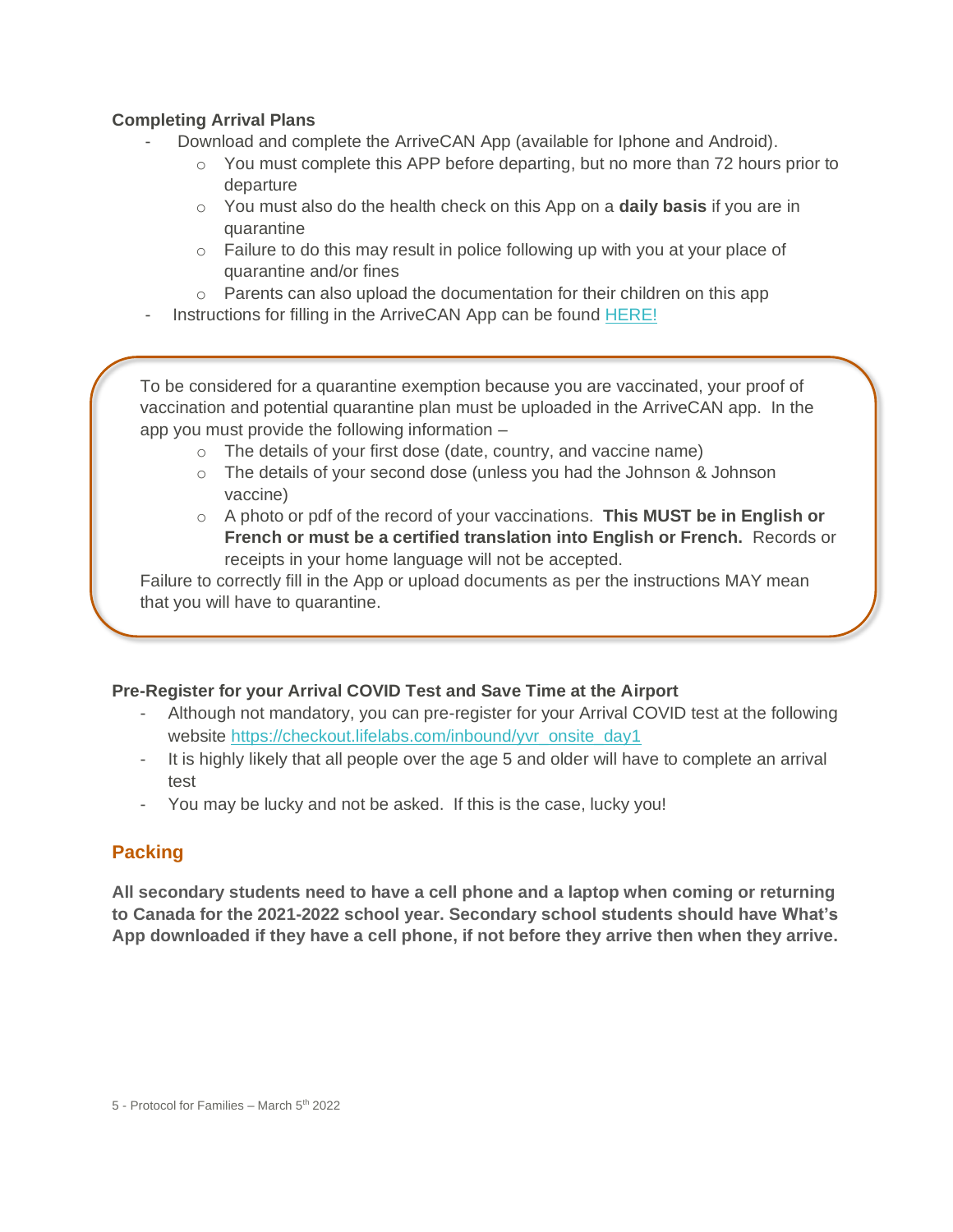# **Completing Arrival Plans**

- Download and complete the ArriveCAN App (available for Iphone and Android).
	- $\circ$  You must complete this APP before departing, but no more than 72 hours prior to departure
	- o You must also do the health check on this App on a **daily basis** if you are in quarantine
	- $\circ$  Failure to do this may result in police following up with you at your place of quarantine and/or fines
	- o Parents can also upload the documentation for their children on this app
- Instructions for filling in the ArriveCAN App can be found [HERE!](https://www.godelta.ca/content/student_arrivals)

To be considered for a quarantine exemption because you are vaccinated, your proof of vaccination and potential quarantine plan must be uploaded in the ArriveCAN app. In the app you must provide the following information –

- o The details of your first dose (date, country, and vaccine name)
- o The details of your second dose (unless you had the Johnson & Johnson vaccine)
- o A photo or pdf of the record of your vaccinations. **This MUST be in English or French or must be a certified translation into English or French.** Records or receipts in your home language will not be accepted.

Failure to correctly fill in the App or upload documents as per the instructions MAY mean that you will have to quarantine.

## **Pre-Register for your Arrival COVID Test and Save Time at the Airport**

- Although not mandatory, you can pre-register for your Arrival COVID test at the following website [https://checkout.lifelabs.com/inbound/yvr\\_onsite\\_day1](https://checkout.lifelabs.com/inbound/yvr_onsite_day1)
- It is highly likely that all people over the age 5 and older will have to complete an arrival test
- You may be lucky and not be asked. If this is the case, lucky you!

# **Packing**

**All secondary students need to have a cell phone and a laptop when coming or returning to Canada for the 2021-2022 school year. Secondary school students should have What's App downloaded if they have a cell phone, if not before they arrive then when they arrive.**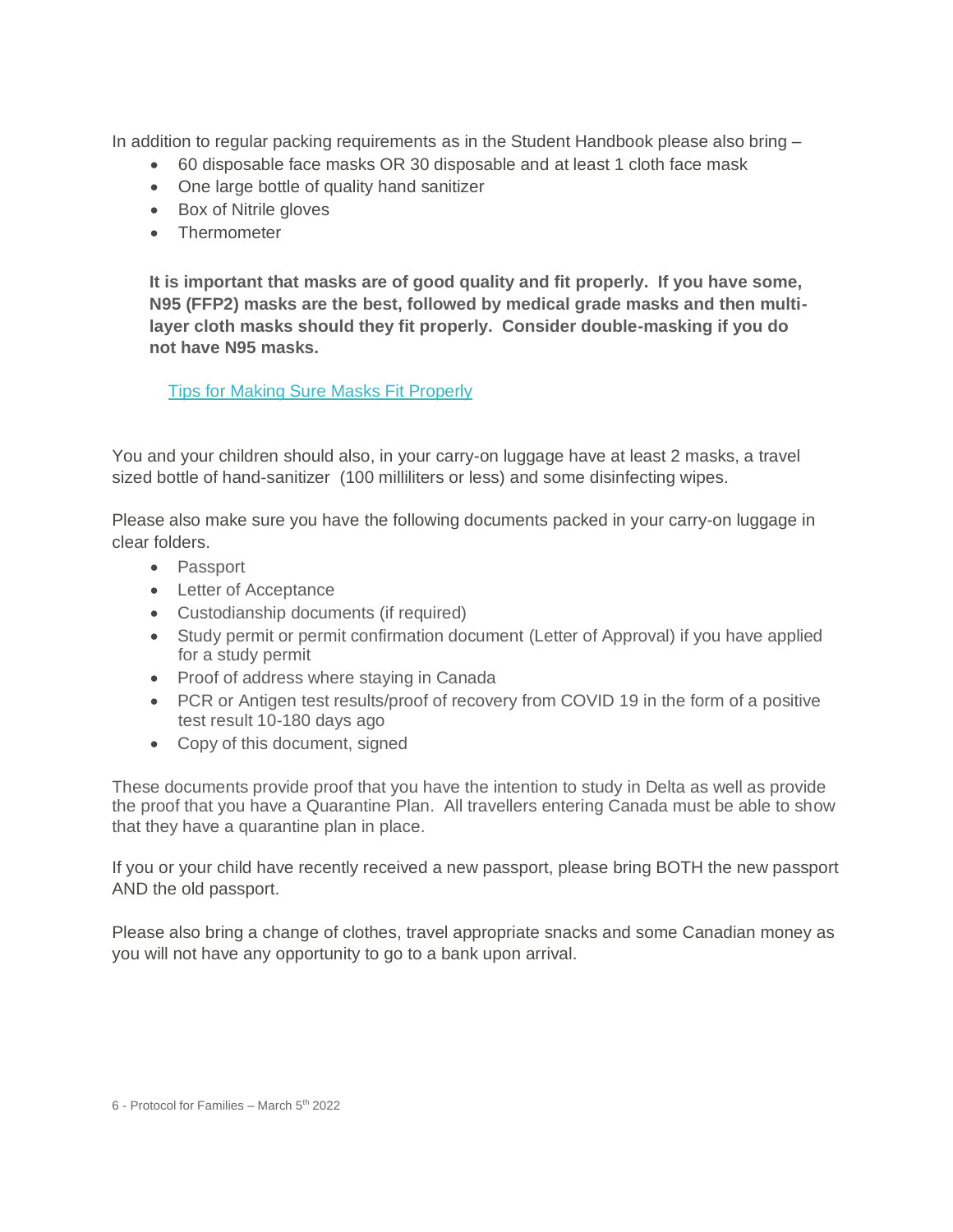In addition to regular packing requirements as in the Student Handbook please also bring –

- 60 disposable face masks OR 30 disposable and at least 1 cloth face mask
- One large bottle of quality hand sanitizer
- Box of Nitrile gloves
- Thermometer

**It is important that masks are of good quality and fit properly. If you have some, N95 (FFP2) masks are the best, followed by medical grade masks and then multilayer cloth masks should they fit properly. Consider double-masking if you do not have N95 masks.**

[Tips for Making Sure Masks Fit Properly](https://www.canada.ca/content/dam/phac-aspc/documents/services/publications/diseases-conditions/covid-19-mask-fit-properly/covid-19-mask-fit-properly-en.pdf)

You and your children should also, in your carry-on luggage have at least 2 masks, a travel sized bottle of hand-sanitizer (100 milliliters or less) and some disinfecting wipes.

Please also make sure you have the following documents packed in your carry-on luggage in clear folders.

- Passport
- Letter of Acceptance
- Custodianship documents (if required)
- Study permit or permit confirmation document (Letter of Approval) if you have applied for a study permit
- Proof of address where staying in Canada
- PCR or Antigen test results/proof of recovery from COVID 19 in the form of a positive test result 10-180 days ago
- Copy of this document, signed

These documents provide proof that you have the intention to study in Delta as well as provide the proof that you have a Quarantine Plan. All travellers entering Canada must be able to show that they have a quarantine plan in place.

If you or your child have recently received a new passport, please bring BOTH the new passport AND the old passport.

Please also bring a change of clothes, travel appropriate snacks and some Canadian money as you will not have any opportunity to go to a bank upon arrival.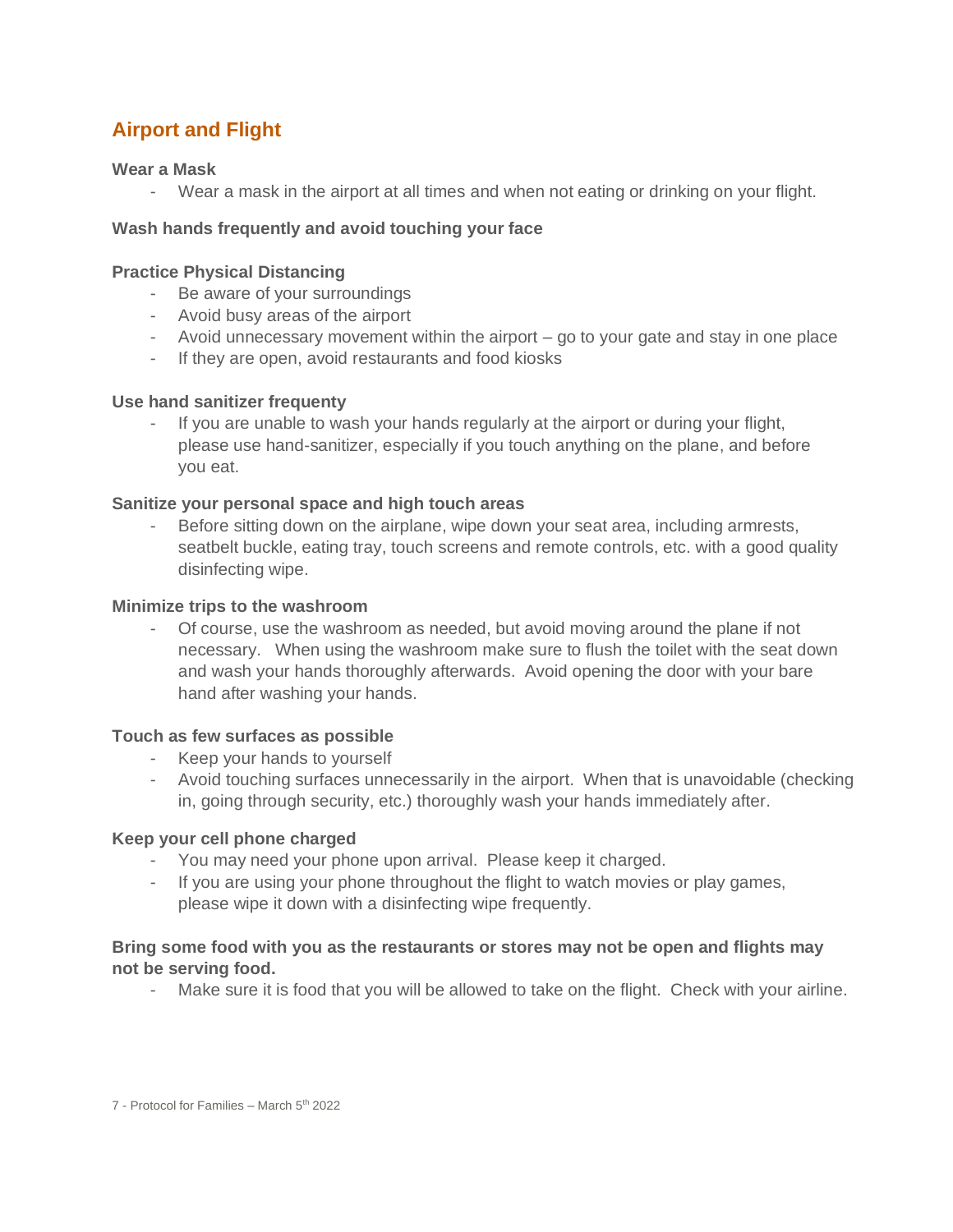# **Airport and Flight**

#### **Wear a Mask**

- Wear a mask in the airport at all times and when not eating or drinking on your flight.

#### **Wash hands frequently and avoid touching your face**

#### **Practice Physical Distancing**

- Be aware of your surroundings
- Avoid busy areas of the airport
- Avoid unnecessary movement within the airport go to your gate and stay in one place
- If they are open, avoid restaurants and food kiosks

#### **Use hand sanitizer frequenty**

- If you are unable to wash your hands regularly at the airport or during your flight, please use hand-sanitizer, especially if you touch anything on the plane, and before you eat.

#### **Sanitize your personal space and high touch areas**

Before sitting down on the airplane, wipe down your seat area, including armrests, seatbelt buckle, eating tray, touch screens and remote controls, etc. with a good quality disinfecting wipe.

#### **Minimize trips to the washroom**

- Of course, use the washroom as needed, but avoid moving around the plane if not necessary. When using the washroom make sure to flush the toilet with the seat down and wash your hands thoroughly afterwards. Avoid opening the door with your bare hand after washing your hands.

#### **Touch as few surfaces as possible**

- Keep your hands to yourself
- Avoid touching surfaces unnecessarily in the airport. When that is unavoidable (checking in, going through security, etc.) thoroughly wash your hands immediately after.

#### **Keep your cell phone charged**

- You may need your phone upon arrival. Please keep it charged.
- If you are using your phone throughout the flight to watch movies or play games, please wipe it down with a disinfecting wipe frequently.

#### **Bring some food with you as the restaurants or stores may not be open and flights may not be serving food.**

- Make sure it is food that you will be allowed to take on the flight. Check with your airline.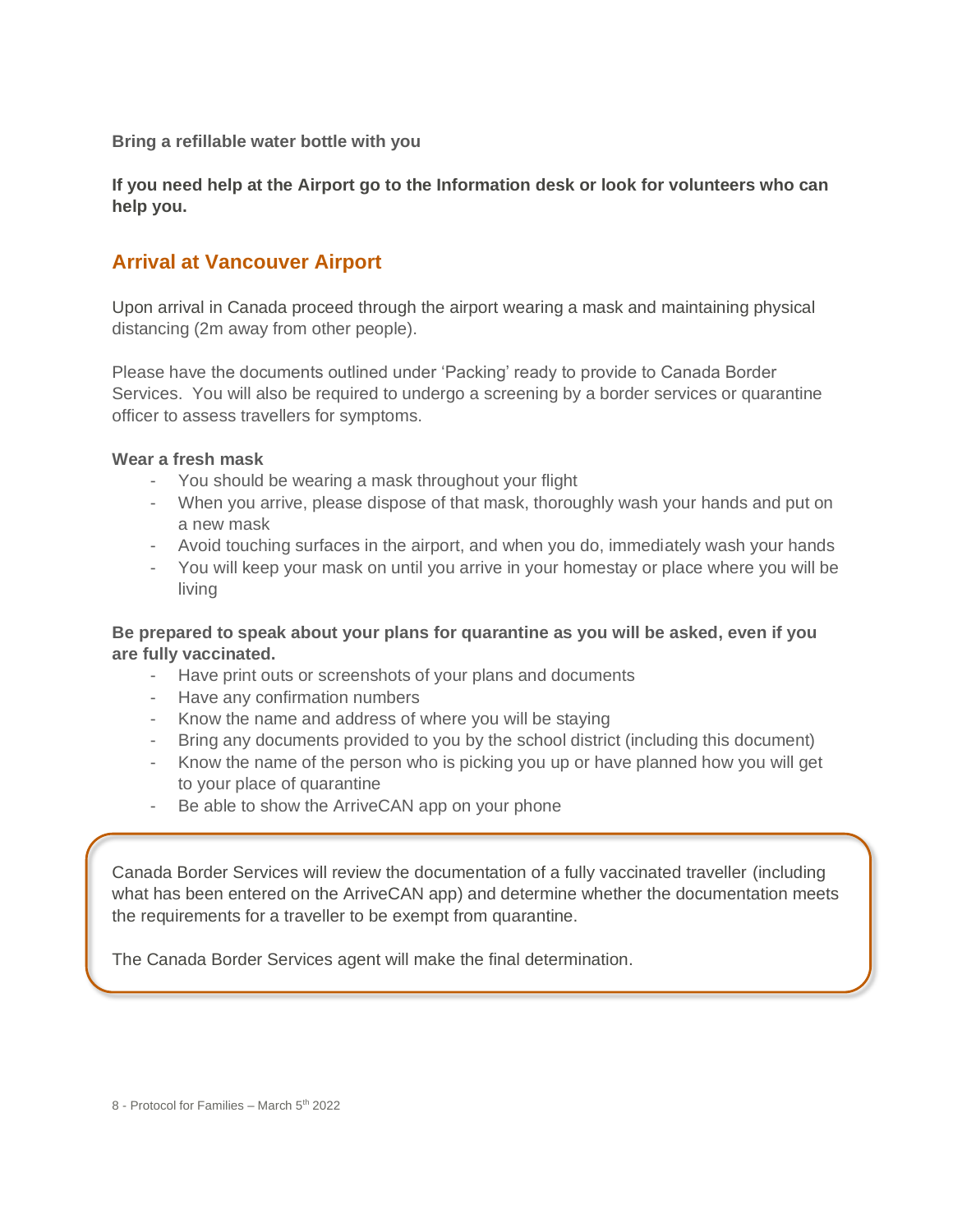**Bring a refillable water bottle with you**

**If you need help at the Airport go to the Information desk or look for volunteers who can help you.** 

# **Arrival at Vancouver Airport**

Upon arrival in Canada proceed through the airport wearing a mask and maintaining physical distancing (2m away from other people).

Please have the documents outlined under 'Packing' ready to provide to Canada Border Services. You will also be required to undergo a screening by a border services or quarantine officer to assess travellers for symptoms.

#### **Wear a fresh mask**

- You should be wearing a mask throughout your flight
- When you arrive, please dispose of that mask, thoroughly wash your hands and put on a new mask
- Avoid touching surfaces in the airport, and when you do, immediately wash your hands
- You will keep your mask on until you arrive in your homestay or place where you will be living

## **Be prepared to speak about your plans for quarantine as you will be asked, even if you are fully vaccinated.**

- Have print outs or screenshots of your plans and documents
- Have any confirmation numbers
- Know the name and address of where you will be staying
- Bring any documents provided to you by the school district (including this document)
- Know the name of the person who is picking you up or have planned how you will get to your place of quarantine
- Be able to show the ArriveCAN app on your phone

Canada Border Services will review the documentation of a fully vaccinated traveller (including what has been entered on the ArriveCAN app) and determine whether the documentation meets the requirements for a traveller to be exempt from quarantine.

The Canada Border Services agent will make the final determination.

8 - Protocol for Families – March 5<sup>th</sup> 2022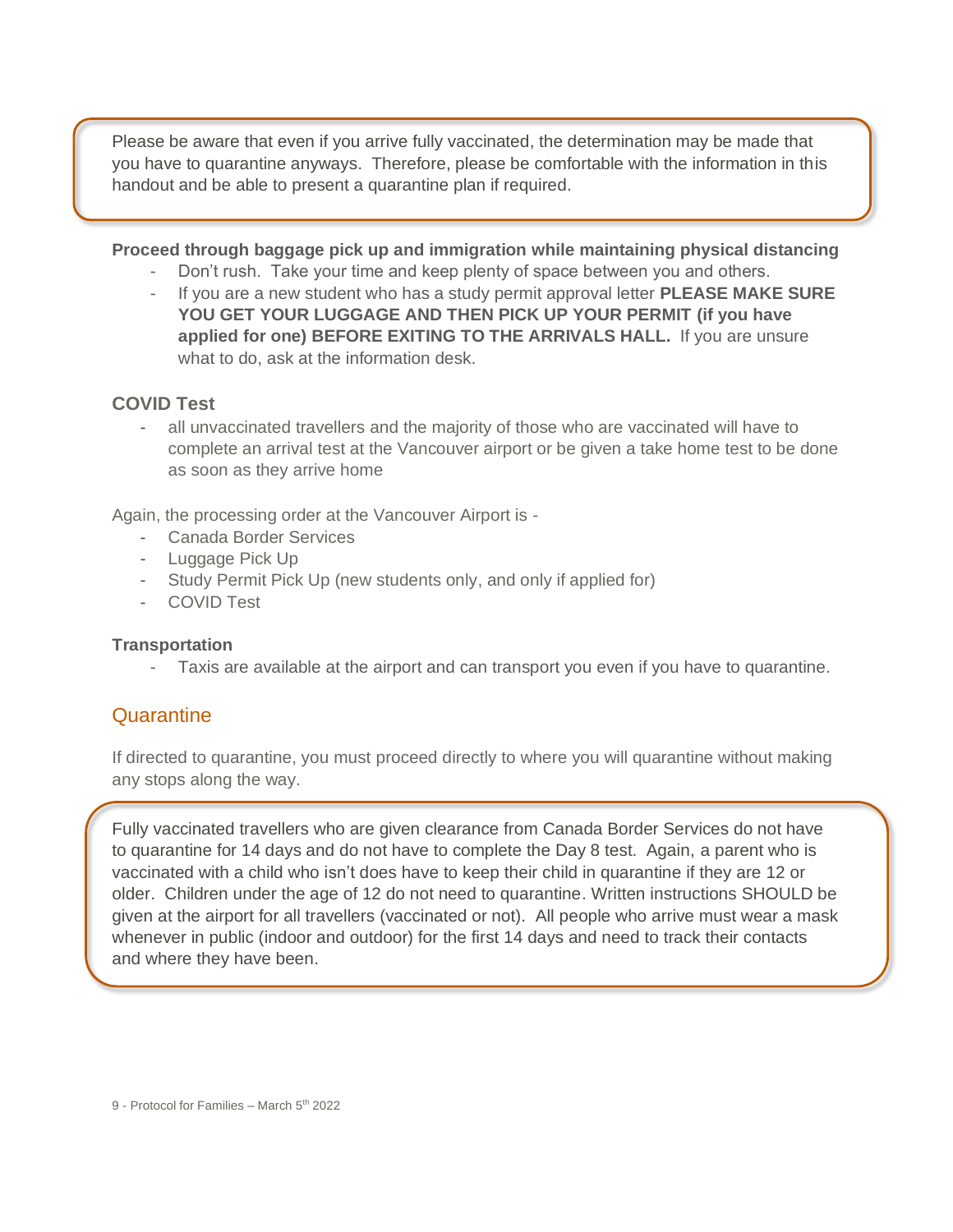Please be aware that even if you arrive fully vaccinated, the determination may be made that you have to quarantine anyways. Therefore, please be comfortable with the information in this handout and be able to present a quarantine plan if required.

#### **Proceed through baggage pick up and immigration while maintaining physical distancing**

- Don't rush. Take your time and keep plenty of space between you and others.
- If you are a new student who has a study permit approval letter **PLEASE MAKE SURE YOU GET YOUR LUGGAGE AND THEN PICK UP YOUR PERMIT (if you have applied for one) BEFORE EXITING TO THE ARRIVALS HALL.** If you are unsure what to do, ask at the information desk.

## **COVID Test**

all unvaccinated travellers and the majority of those who are vaccinated will have to complete an arrival test at the Vancouver airport or be given a take home test to be done as soon as they arrive home

Again, the processing order at the Vancouver Airport is -

- Canada Border Services
- Luggage Pick Up
- Study Permit Pick Up (new students only, and only if applied for)
- COVID Test

#### **Transportation**

Taxis are available at the airport and can transport you even if you have to quarantine.

# **Quarantine**

If directed to quarantine, you must proceed directly to where you will quarantine without making any stops along the way.

Fully vaccinated travellers who are given clearance from Canada Border Services do not have to quarantine for 14 days and do not have to complete the Day 8 test. Again, a parent who is vaccinated with a child who isn't does have to keep their child in quarantine if they are 12 or older. Children under the age of 12 do not need to quarantine. Written instructions SHOULD be given at the airport for all travellers (vaccinated or not). All people who arrive must wear a mask whenever in public (indoor and outdoor) for the first 14 days and need to track their contacts and where they have been.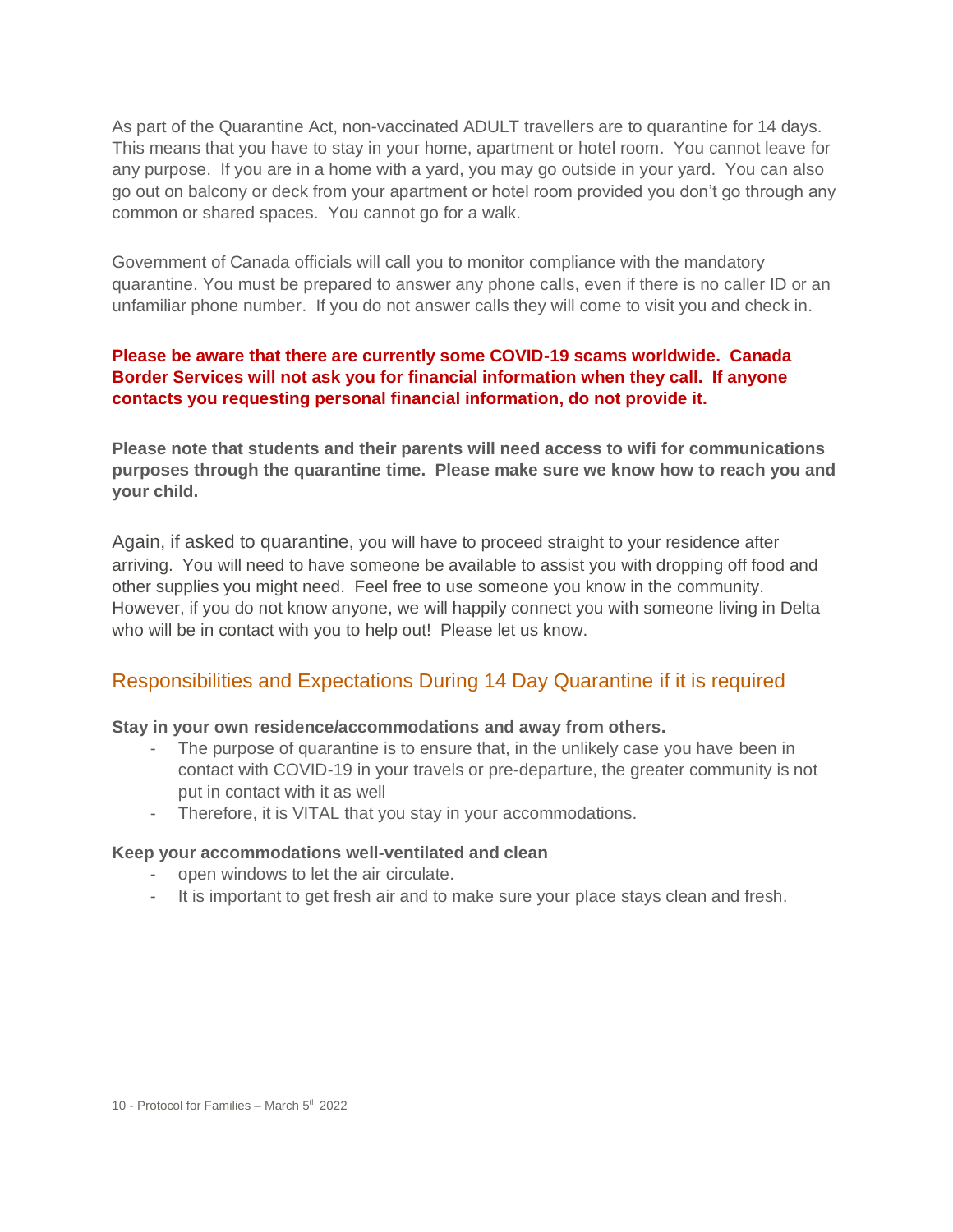As part of the Quarantine Act, non-vaccinated ADULT travellers are to quarantine for 14 days. This means that you have to stay in your home, apartment or hotel room. You cannot leave for any purpose. If you are in a home with a yard, you may go outside in your yard. You can also go out on balcony or deck from your apartment or hotel room provided you don't go through any common or shared spaces. You cannot go for a walk.

Government of Canada officials will call you to monitor compliance with the mandatory quarantine. You must be prepared to answer any phone calls, even if there is no caller ID or an unfamiliar phone number. If you do not answer calls they will come to visit you and check in.

#### **Please be aware that there are currently some COVID-19 scams worldwide. Canada Border Services will not ask you for financial information when they call. If anyone contacts you requesting personal financial information, do not provide it.**

**Please note that students and their parents will need access to wifi for communications purposes through the quarantine time. Please make sure we know how to reach you and your child.**

Again, if asked to quarantine, you will have to proceed straight to your residence after arriving. You will need to have someone be available to assist you with dropping off food and other supplies you might need. Feel free to use someone you know in the community. However, if you do not know anyone, we will happily connect you with someone living in Delta who will be in contact with you to help out! Please let us know.

# Responsibilities and Expectations During 14 Day Quarantine if it is required

#### **Stay in your own residence/accommodations and away from others.**

- The purpose of quarantine is to ensure that, in the unlikely case you have been in contact with COVID-19 in your travels or pre-departure, the greater community is not put in contact with it as well
- Therefore, it is VITAL that you stay in your accommodations.

#### **Keep your accommodations well-ventilated and clean**

- open windows to let the air circulate.
- It is important to get fresh air and to make sure your place stays clean and fresh.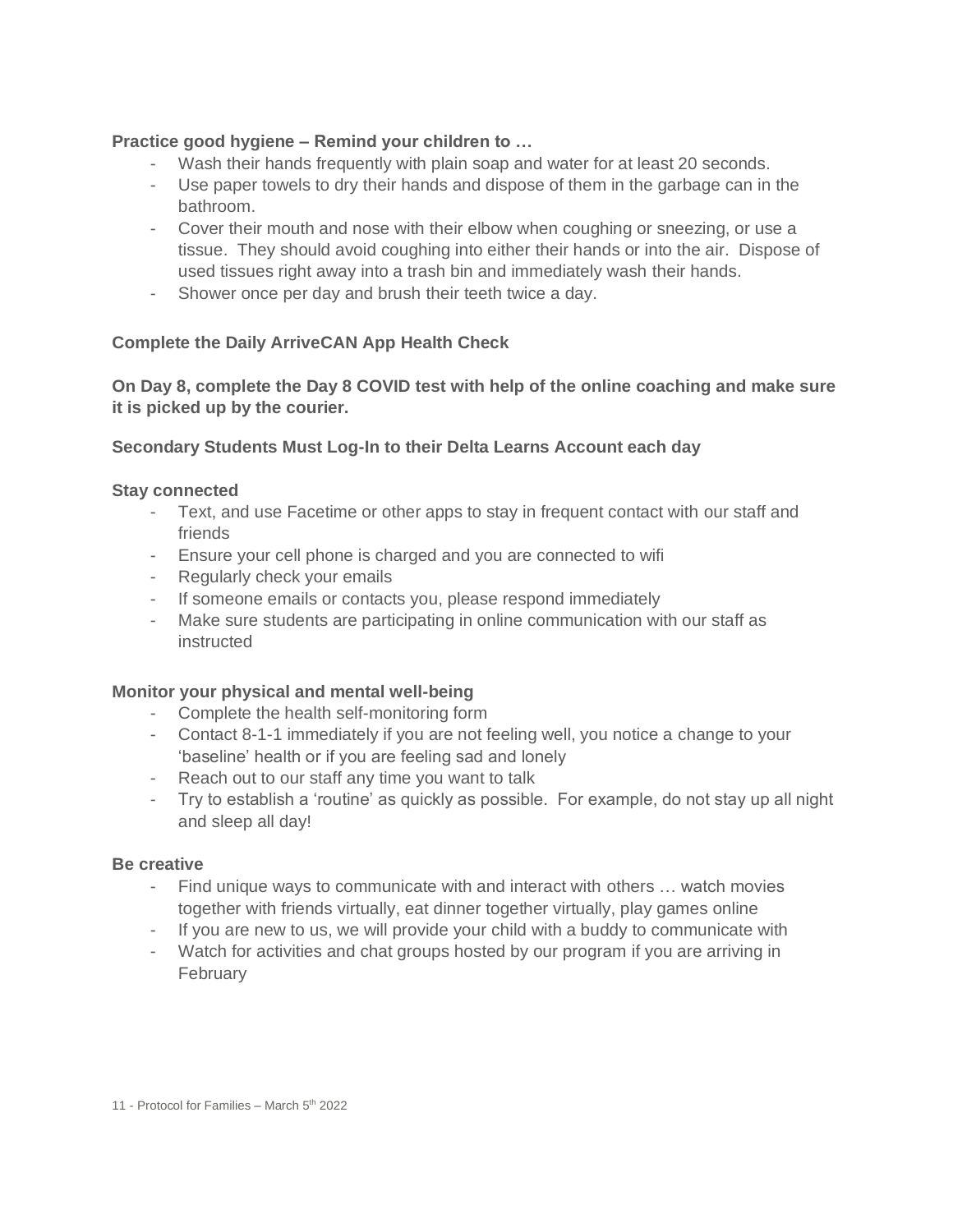#### **Practice good hygiene – Remind your children to …**

- Wash their hands frequently with plain soap and water for at least 20 seconds.
- Use paper towels to dry their hands and dispose of them in the garbage can in the bathroom.
- Cover their mouth and nose with their elbow when coughing or sneezing, or use a tissue. They should avoid coughing into either their hands or into the air. Dispose of used tissues right away into a trash bin and immediately wash their hands.
- Shower once per day and brush their teeth twice a day.

#### **Complete the Daily ArriveCAN App Health Check**

**On Day 8, complete the Day 8 COVID test with help of the online coaching and make sure it is picked up by the courier.**

#### **Secondary Students Must Log-In to their Delta Learns Account each day**

#### **Stay connected**

- Text, and use Facetime or other apps to stay in frequent contact with our staff and friends
- Ensure your cell phone is charged and you are connected to wifi
- Regularly check your emails
- If someone emails or contacts you, please respond immediately
- Make sure students are participating in online communication with our staff as instructed

#### **Monitor your physical and mental well-being**

- Complete the health self-monitoring form
- Contact 8-1-1 immediately if you are not feeling well, you notice a change to your 'baseline' health or if you are feeling sad and lonely
- Reach out to our staff any time you want to talk
- Try to establish a 'routine' as quickly as possible. For example, do not stay up all night and sleep all day!

#### **Be creative**

- Find unique ways to communicate with and interact with others ... watch movies together with friends virtually, eat dinner together virtually, play games online
- If you are new to us, we will provide your child with a buddy to communicate with
- Watch for activities and chat groups hosted by our program if you are arriving in February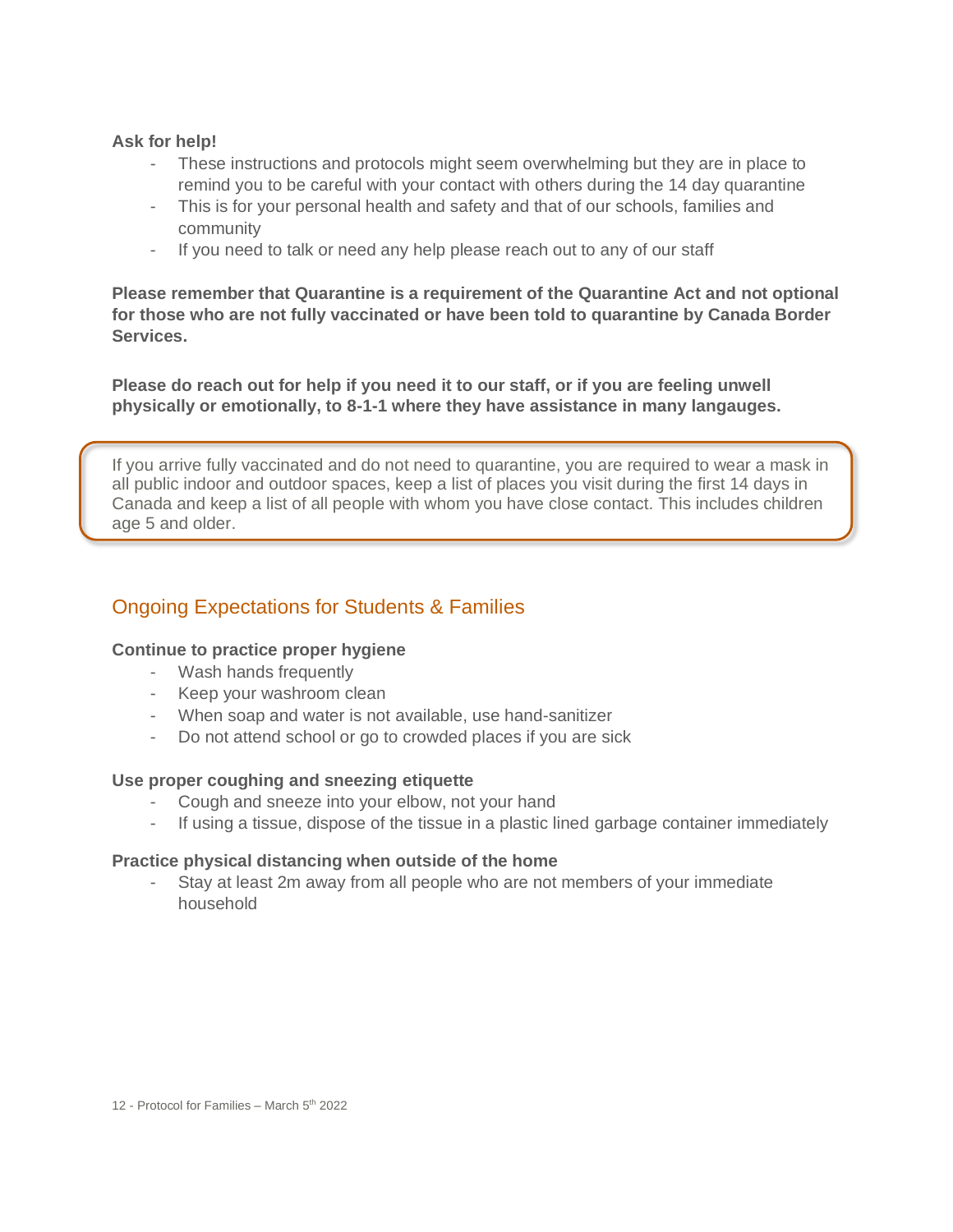#### **Ask for help!**

- These instructions and protocols might seem overwhelming but they are in place to remind you to be careful with your contact with others during the 14 day quarantine
- This is for your personal health and safety and that of our schools, families and community
- If you need to talk or need any help please reach out to any of our staff

**Please remember that Quarantine is a requirement of the Quarantine Act and not optional for those who are not fully vaccinated or have been told to quarantine by Canada Border Services.** 

**Please do reach out for help if you need it to our staff, or if you are feeling unwell physically or emotionally, to 8-1-1 where they have assistance in many langauges.**

If you arrive fully vaccinated and do not need to quarantine, you are required to wear a mask in all public indoor and outdoor spaces, keep a list of places you visit during the first 14 days in Canada and keep a list of all people with whom you have close contact. This includes children age 5 and older.

# Ongoing Expectations for Students & Families

#### **Continue to practice proper hygiene**

- Wash hands frequently
- Keep your washroom clean
- When soap and water is not available, use hand-sanitizer
- Do not attend school or go to crowded places if you are sick

#### **Use proper coughing and sneezing etiquette**

- Cough and sneeze into your elbow, not your hand
- If using a tissue, dispose of the tissue in a plastic lined garbage container immediately

#### **Practice physical distancing when outside of the home**

Stay at least 2m away from all people who are not members of your immediate household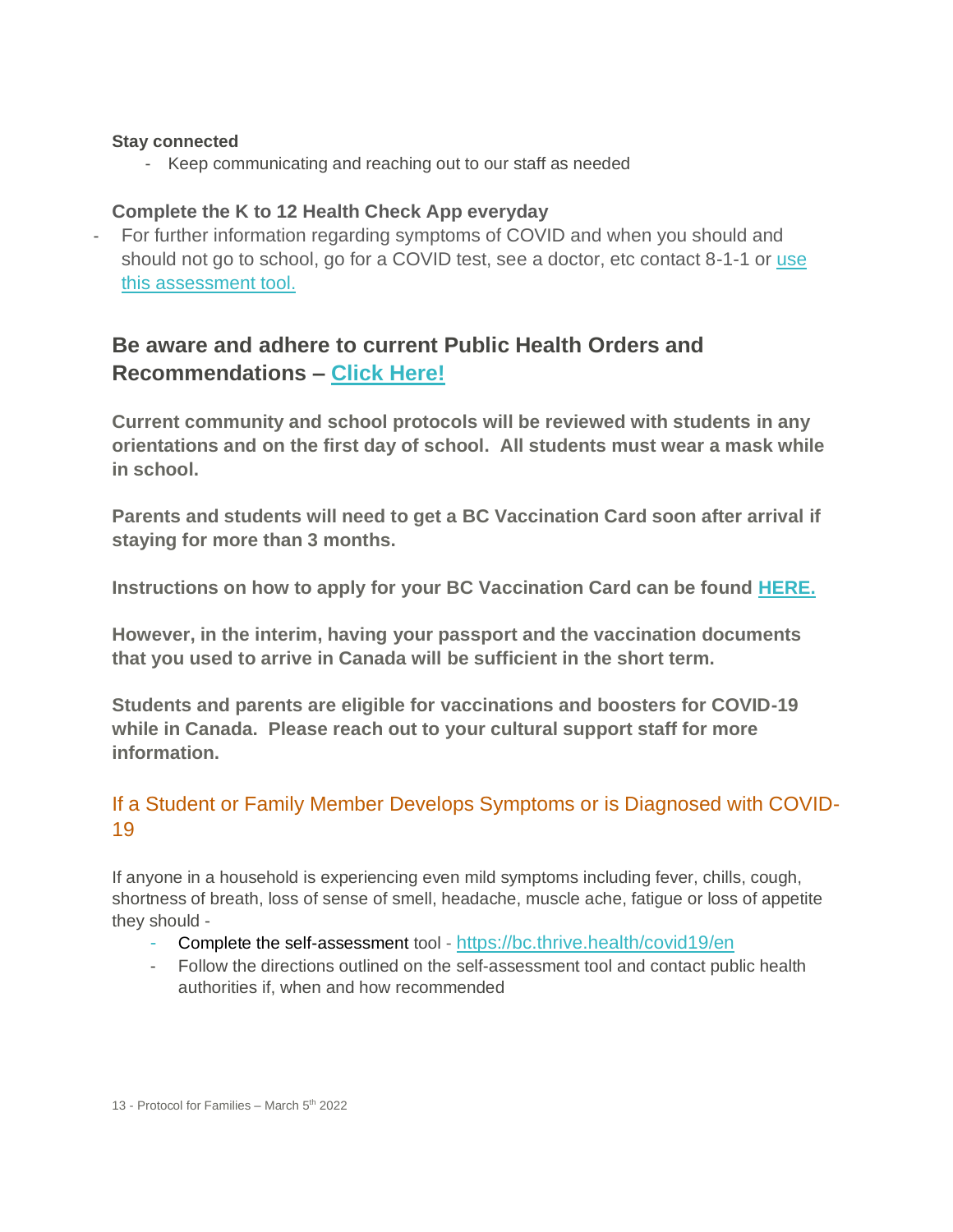#### **Stay connected**

- Keep communicating and reaching out to our staff as needed

## **Complete the K to 12 Health Check App everyday**

- For further information regarding symptoms of COVID and when you should and should not go to school, go for a COVID test, see a doctor, etc contact 8-1-1 or [use](https://bc.thrive.health/covid19/en)  [this assessment tool.](https://bc.thrive.health/covid19/en)

# **Be aware and adhere to current Public Health Orders and Recommendations – [Click Here!](https://www2.gov.bc.ca/gov/content/covid-19/info/response)**

**Current community and school protocols will be reviewed with students in any orientations and on the first day of school. All students must wear a mask while in school.**

**Parents and students will need to get a BC Vaccination Card soon after arrival if staying for more than 3 months.**

**Instructions on how to apply for your BC Vaccination Card can be found [HERE.](https://www.immunizationrecord.gov.bc.ca/)**

**However, in the interim, having your passport and the vaccination documents that you used to arrive in Canada will be sufficient in the short term.**

**Students and parents are eligible for vaccinations and boosters for COVID-19 while in Canada. Please reach out to your cultural support staff for more information.**

# If a Student or Family Member Develops Symptoms or is Diagnosed with COVID-19

If anyone in a household is experiencing even mild symptoms including fever, chills, cough, shortness of breath, loss of sense of smell, headache, muscle ache, fatigue or loss of appetite they should -

- Complete the self-assessment tool <https://bc.thrive.health/covid19/en>
- Follow the directions outlined on the self-assessment tool and contact public health authorities if, when and how recommended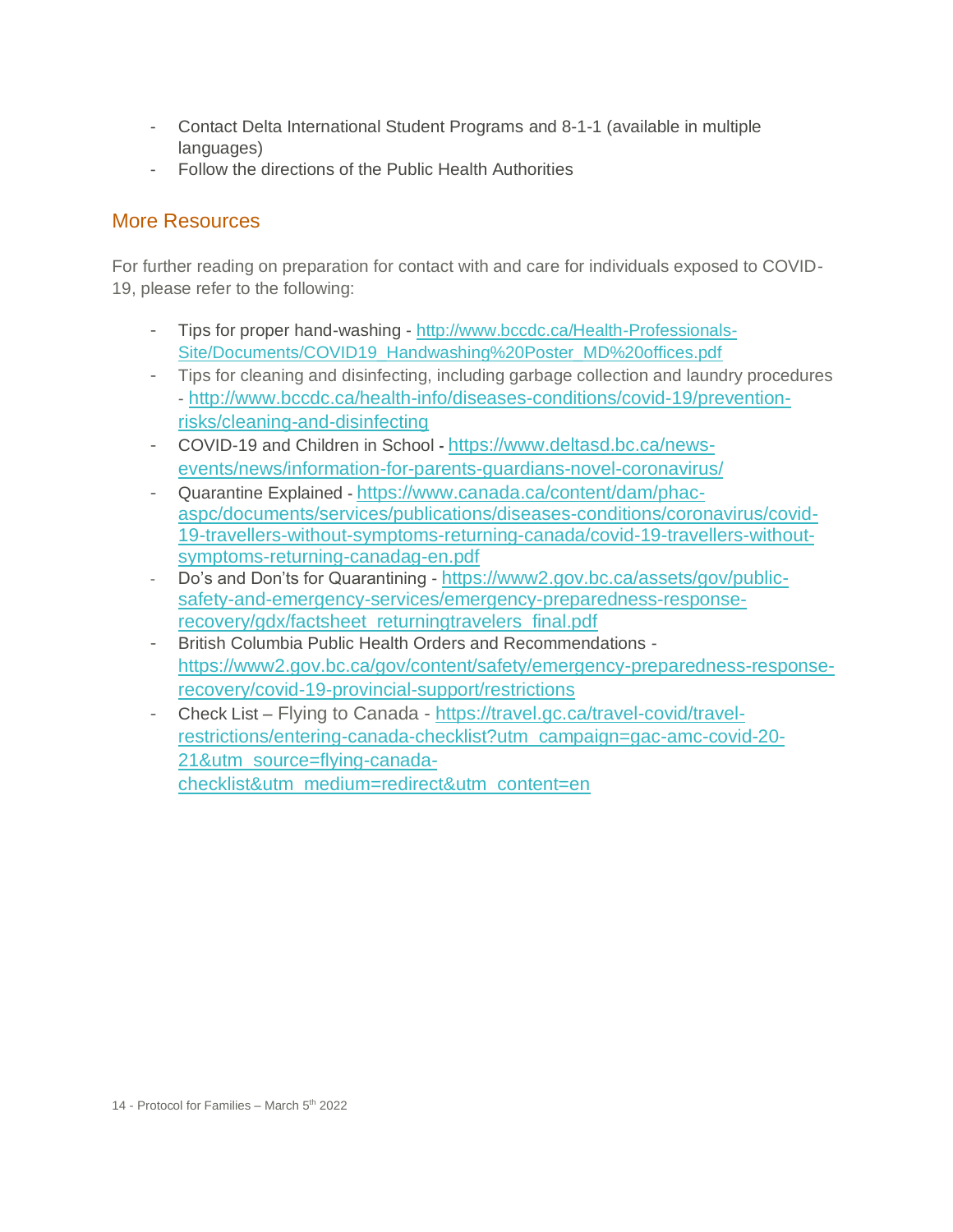- Contact Delta International Student Programs and 8-1-1 (available in multiple languages)
- Follow the directions of the Public Health Authorities

# More Resources

For further reading on preparation for contact with and care for individuals exposed to COVID-19, please refer to the following:

- Tips for proper hand-washing [http://www.bccdc.ca/Health-Professionals-](http://www.bccdc.ca/Health-Professionals-Site/Documents/COVID19_Handwashing%20Poster_MD%20offices.pdf)[Site/Documents/COVID19\\_Handwashing%20Poster\\_MD%20offices.pdf](http://www.bccdc.ca/Health-Professionals-Site/Documents/COVID19_Handwashing%20Poster_MD%20offices.pdf)
- Tips for cleaning and disinfecting, including garbage collection and laundry procedures - [http://www.bccdc.ca/health-info/diseases-conditions/covid-19/prevention](http://www.bccdc.ca/health-info/diseases-conditions/covid-19/prevention-risks/cleaning-and-disinfecting)[risks/cleaning-and-disinfecting](http://www.bccdc.ca/health-info/diseases-conditions/covid-19/prevention-risks/cleaning-and-disinfecting)
- COVID-19 and Children in School **-** [https://www.deltasd.bc.ca/news](https://www.deltasd.bc.ca/news-events/news/information-for-parents-guardians-novel-coronavirus/)[events/news/information-for-parents-guardians-novel-coronavirus/](https://www.deltasd.bc.ca/news-events/news/information-for-parents-guardians-novel-coronavirus/)
- Quarantine Explained **-** [https://www.canada.ca/content/dam/phac](https://www.canada.ca/content/dam/phac-aspc/documents/services/publications/diseases-conditions/coronavirus/covid-19-travellers-without-symptoms-returning-canada/covid-19-travellers-without-symptoms-returning-canadag-en.pdf)[aspc/documents/services/publications/diseases-conditions/coronavirus/covid-](https://www.canada.ca/content/dam/phac-aspc/documents/services/publications/diseases-conditions/coronavirus/covid-19-travellers-without-symptoms-returning-canada/covid-19-travellers-without-symptoms-returning-canadag-en.pdf)[19-travellers-without-symptoms-returning-canada/covid-19-travellers-without](https://www.canada.ca/content/dam/phac-aspc/documents/services/publications/diseases-conditions/coronavirus/covid-19-travellers-without-symptoms-returning-canada/covid-19-travellers-without-symptoms-returning-canadag-en.pdf)[symptoms-returning-canadag-en.pdf](https://www.canada.ca/content/dam/phac-aspc/documents/services/publications/diseases-conditions/coronavirus/covid-19-travellers-without-symptoms-returning-canada/covid-19-travellers-without-symptoms-returning-canadag-en.pdf)
- Do's and Don'ts for Quarantining [https://www2.gov.bc.ca/assets/gov/public](https://www2.gov.bc.ca/assets/gov/public-safety-and-emergency-services/emergency-preparedness-response-recovery/gdx/factsheet_returningtravelers_final.pdf)[safety-and-emergency-services/emergency-preparedness-response](https://www2.gov.bc.ca/assets/gov/public-safety-and-emergency-services/emergency-preparedness-response-recovery/gdx/factsheet_returningtravelers_final.pdf)[recovery/gdx/factsheet\\_returningtravelers\\_final.pdf](https://www2.gov.bc.ca/assets/gov/public-safety-and-emergency-services/emergency-preparedness-response-recovery/gdx/factsheet_returningtravelers_final.pdf)
- British Columbia Public Health Orders and Recommendations [https://www2.gov.bc.ca/gov/content/safety/emergency-preparedness-response](https://www2.gov.bc.ca/gov/content/safety/emergency-preparedness-response-recovery/covid-19-provincial-support/restrictions)[recovery/covid-19-provincial-support/restrictions](https://www2.gov.bc.ca/gov/content/safety/emergency-preparedness-response-recovery/covid-19-provincial-support/restrictions)
- Check List Flying to Canada [https://travel.gc.ca/travel-covid/travel](https://travel.gc.ca/travel-covid/travel-restrictions/entering-canada-checklist?utm_campaign=gac-amc-covid-20-21&utm_source=flying-canada-checklist&utm_medium=redirect&utm_content=en)[restrictions/entering-canada-checklist?utm\\_campaign=gac-amc-covid-20-](https://travel.gc.ca/travel-covid/travel-restrictions/entering-canada-checklist?utm_campaign=gac-amc-covid-20-21&utm_source=flying-canada-checklist&utm_medium=redirect&utm_content=en) [21&utm\\_source=flying-canada](https://travel.gc.ca/travel-covid/travel-restrictions/entering-canada-checklist?utm_campaign=gac-amc-covid-20-21&utm_source=flying-canada-checklist&utm_medium=redirect&utm_content=en)[checklist&utm\\_medium=redirect&utm\\_content=en](https://travel.gc.ca/travel-covid/travel-restrictions/entering-canada-checklist?utm_campaign=gac-amc-covid-20-21&utm_source=flying-canada-checklist&utm_medium=redirect&utm_content=en)